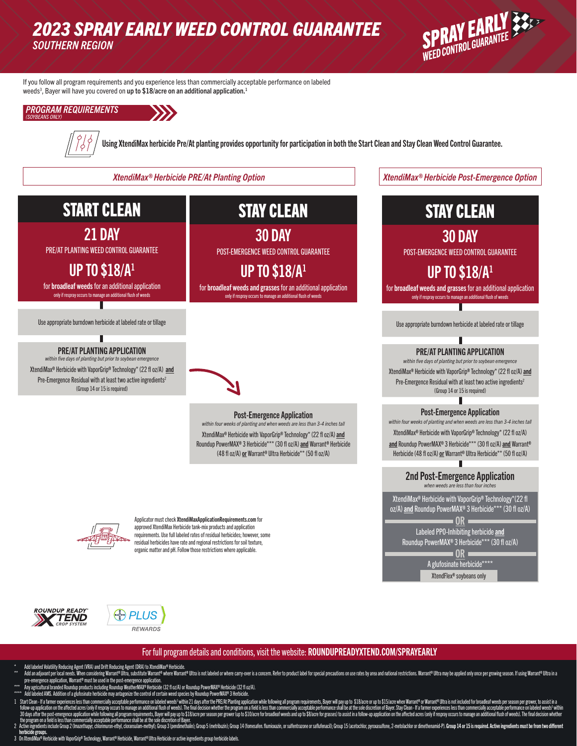## *2023 SPRAY EARLY WEED CONTROL GUARANTEE SOUTHERN REGION*



If you follow all program requirements and you experience less than commercially acceptable performance on labeled weeds<sup>3</sup>, Bayer will have you covered on up to \$18/acre on an additional application.<sup>1</sup>





Using XtendiMax herbicide Pre/At planting provides opportunity for participation in both the Start Clean and Stay Clean Weed Control Guarantee.

## START CLEAN

21 DAY

PRE/AT PLANTING WEED CONTROL GUARANTEE

UP TO \$18/A1

for broadleaf weeds for an additional application only if respray occurs to manage an additional flush of weeds

Use appropriate burndown herbicide at labeled rate or tillage

### PRE/AT PLANTING APPLICATION

*within five days of planting but prior to soybean emergence* XtendiMax® Herbicide with VaporGrip® Technology\* (22 fl oz/A) and Pre-Emergence Residual with at least two active ingredients<sup>2</sup> (Group 14 or 15 is required)

# STAY CLEAN

30 DAY POST-EMERGENCE WEED CONTROL GUARANTEE

**UP TO \$18/A1** for broadleaf weeds and grasses for an additional application

only if respray occurs to manage an additional flush of weeds



### Post-Emergence Application

*within four weeks of planting and when weeds are less than 3-4 inches tall* XtendiMax® Herbicide with VaporGrip® Technology\* (22 fl oz/A) and Roundup PowerMAX® 3 Herbicide\*\*\* (30 fl oz/A) and Warrant® Herbicide (48 fl oz/A) or Warrant® Ultra Herbicide\*\* (50 fl oz/A)



Applicator must check XtendiMaxApplicationRequirements.com for approved XtendiMax Herbicide tank-mix products and application requirements. Use full labeled rates of residual herbicides; however, some residual herbicides have rate and regional restrictions for soil texture, organic matter and pH. Follow those restrictions where applicable.





### For full program details and conditions, visit the website: ROUNDUPREADYXTEND.COM/SPRAYEARLY

- Add labeled Volatility Reducing Agent (VRA) and Drift Reducing Agent (DRA) to XtendiMax® Herbicide.
- Add an adjuvant per local needs. When considering Warrant® Ultra, substitute Warrant® where warrant® Ultra is not labled or where carry-over is a concern. Refer to product label for special precautions on use rates by area
- pre-emergence application, Warrant® must be used in the post-emergence application.<br>\*\*\* Any agricultural branded Roundup products including Roundup WeatherMAX® Herbicide (321 fl oz/A).<br>\*\*\*\* Add labeled AMS. Addition
- 
- 1962 Start Clean- If a farmer experiences less than commercially acceptable performance on labelof weeds<sup>3</sup> within 21 days after the PRE/At Planting application while following all program requirements, Bayer will pay at t
- 
- herbicide groups.<br>3 On XtendiMax® Herbicide with VaporGrip® Technology, Warrant® Herbicide, Warrant® Ultra Herbicide or active ingredients group herbicide labels.

*XtendiMax® Herbicide PRE/At Planting Option XtendiMax® Herbicide Post-Emergence Option*

## STAY CLEAN

30 DAY

POST-EMERGENCE WEED CONTROL GUARANTEE

## UP TO \$18/A1

for broadleaf weeds and grasses for an additional application only if respray occurs to manage an additional flush of weeds

Use appropriate burndown herbicide at labeled rate or tillage

### PRE/AT PLANTING APPLICATION

*within five days of planting but prior to soybean emergence* XtendiMax® Herbicide with VaporGrip® Technology\* (22 fl oz/A) and Pre-Emergence Residual with at least two active ingredients<sup>2</sup> (Group 14 or 15 is required)

### Post-Emergence Application

*within four weeks of planting and when weeds are less than 3-4 inches tall* XtendiMax® Herbicide with VaporGrip® Technology\* (22 fl oz/A) and Roundup PowerMAX® 3 Herbicide\*\*\* (30 fl oz/A) and Warrant® Herbicide (48 fl oz/A) or Warrant® Ultra Herbicide\*\* (50 fl oz/A)

#### 2nd Post-Emergence Application *when weeds are less than four inches*

XtendiMax® Herbicide with VaporGrip® Technology\*(22 fl oz/A) and Roundup PowerMAX® 3 Herbicide\*\*\* (30 fl oz/A) OR Labeled PPO-Inhibiting herbicide and Roundup PowerMAX® 3 Herbicide\*\*\* (30 fl oz/A) OR A glufosinate herbicide\*\*\* XtendFlex® soybeans only